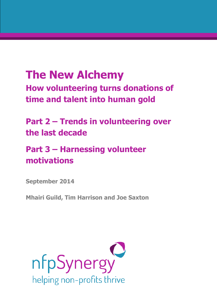# **The New Alchemy**

**How volunteering turns donations of time and talent into human gold**

## **Part 2 – Trends in volunteering over the last decade**

## **Part 3 – Harnessing volunteer motivations**

**September 2014**

**Mhairi Guild, Tim Harrison and Joe Saxton**

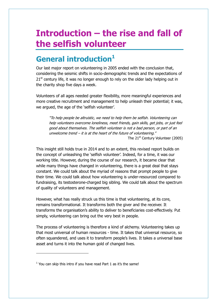# **Introduction – the rise and fall of the selfish volunteer**

## **General introduction<sup>1</sup>**

Our last major report on volunteering in 2005 ended with the conclusion that, considering the seismic shifts in socio-demographic trends and the expectations of  $21<sup>st</sup>$  century life, it was no longer enough to rely on the older lady helping out in the charity shop five days a week.

Volunteers of all ages needed greater flexibility, more meaningful experiences and more creative recruitment and management to help unleash their potential; it was, we argued, the age of the 'selfish volunteer'.

"To help people be altruistic, we need to help them be selfish. Volunteering can help volunteers overcome loneliness, meet friends, gain skills, get jobs, or just feel good about themselves. The selfish volunteer is not a bad person, or part of an unwelcome trend  $-$  it is at the heart of the future of volunteering." The 21<sup>st</sup> Century Volunteer (2005)

This insight still holds true in 2014 and to an extent, this revised report builds on the concept of unleashing the 'selfish volunteer'. Indeed, for a time, it was our working title. However, during the course of our research, it became clear that while many things have changed in volunteering, there is a great deal that stays constant. We could talk about the myriad of reasons that prompt people to give their time. We could talk about how volunteering is under-resourced compared to fundraising, its testosterone-charged big sibling. We could talk about the spectrum of quality of volunteers and management.

However, what has really struck us this time is that volunteering, at its core, remains transformational. It transforms both the giver and the receiver. It transforms the organisation's ability to deliver to beneficiaries cost-effectively. Put simply, volunteering can bring out the very best in people.

The process of volunteering is therefore a kind of alchemy. Volunteering takes up that most universal of human resources - time. It takes that universal resource, so often squandered, and uses it to transform people's lives. It takes a universal base asset and turns it into the human gold of changed lives.

 $<sup>1</sup>$  You can skip this intro if you have read Part 1 as it's the same!</sup>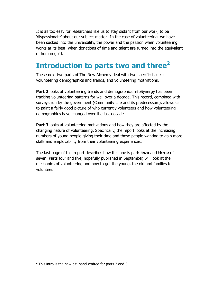It is all too easy for researchers like us to stay distant from our work, to be 'dispassionate' about our subject matter. In the case of volunteering, we have been sucked into the universality, the power and the passion when volunteering works at its best; when donations of time and talent are turned into the equivalent of human gold.

## **Introduction to parts two and three<sup>2</sup>**

These next two parts of The New Alchemy deal with two specific issues: volunteering demographics and trends, and volunteering motivations.

**Part 2** looks at volunteering trends and demographics. nfpSynergy has been tracking volunteering patterns for well over a decade. This record, combined with surveys run by the government (Community Life and its predecessors), allows us to paint a fairly good picture of who currently volunteers and how volunteering demographics have changed over the last decade

**Part 3** looks at volunteering motivations and how they are affected by the changing nature of volunteering. Specifically, the report looks at the increasing numbers of young people giving their time and those people wanting to gain more skills and employability from their volunteering experiences.

The last page of this report describes how this one is parts **two** and **three** of seven. Parts four and five, hopefully published in September, will look at the mechanics of volunteering and how to get the young, the old and families to volunteer.

 $2$  This intro is the new bit, hand-crafted for parts 2 and 3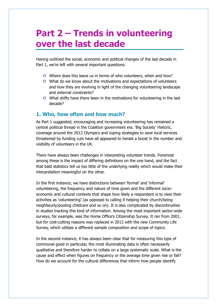## **Part 2 – Trends in volunteering over the last decade**

Having outlined the social, economic and political changes of the last decade in Part 1, we're left with several important questions:

- Where does this leave us in terms of who volunteers, when and how?
- What do we know about the motivations and expectations of volunteers and how they are evolving in light of the changing volunteering landscape and external constraints?
- What shifts have there been in the motivations for volunteering in the last decade?

## **1. Who, how often and how much?**

As Part 1 suggested, encouraging and increasing volunteering has remained a central political thread in the Coalition government era. 'Big Society' rhetoric, coverage around the 2012 Olympics and coping strategies to save local services threatened by funding cuts have all appeared to herald a boost in the number and visibility of volunteers in the UK.

There have always been challenges in interpreting volunteer trends. Foremost among these is the impact of differing definitions on the one hand, and the fact that bald statistics tell us too little of the underlying reality which would make their interpretation meaningful on the other.

In the first instance, we have distinctions between 'formal' and 'informal' volunteering, the frequency and nature of time given and the different socioeconomic and cultural contexts that shape how likely a respondent is to view their activities as 'volunteering' (as opposed to calling it helping their church/being neighbourly/pooling childcare and so on). It is also complicated by discontinuities in studies tracking this kind of information. Among the most important sector-wide surveys, for example, was the Home Office's Citizenship Survey. It ran from 2001, but for cost-cutting reasons was replaced in 2012 with the new Community Life Survey, which utilises a different sample composition and scope of topics.

In the second instance, it has always been clear that for measuring this type of communal good in particular, the most illuminating data is often necessarily qualitative and therefore harder to collate on a large systematic scale. What is the cause and effect when figures on frequency or the average time given rise or fall? How do we account for the cultural differences that inform how people identify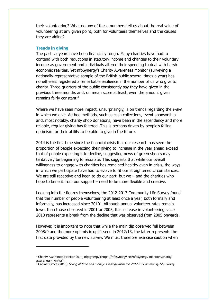their volunteering? What do any of these numbers tell us about the real value of volunteering at any given point, both for volunteers themselves and the causes they are aiding?

## **Trends in giving**

 $\overline{a}$ 

The past six years have been financially tough. Many charities have had to contend with both reductions in statutory income and changes to their voluntary income as government and individuals altered their spending to deal with harsh economic realities. Yet nfpSynergy's Charity Awareness Monitor (surveying a nationally representative sample of the British public several times a year) has nonetheless registered a remarkable resilience in the number of us who give to charity. Three-quarters of the public consistently say they have given in the previous three months and, on mean score at least, even the amount given remains fairly constant.<sup>3</sup>

Where we have seen more impact, unsurprisingly, is on trends regarding the ways in which we give. Ad hoc methods, such as cash collections, event sponsorship and, most notably, charity shop donations, have been in the ascendency and more reliable, regular giving has faltered. This is perhaps driven by people's falling optimism for their ability to be able to give in the future.

2014 is the first time since the financial crisis that our research has seen the proportion of people expecting their giving to increase in the year ahead exceed that of people expecting it to decline, suggesting news of green shoots may tentatively be beginning to resonate. This suggests that while our overall willingness to engage with charities has remained healthy even in crisis, the ways in which we participate have had to evolve to fit our straightened circumstances. We are still receptive and keen to do our part, but we  $-$  and the charities who hope to benefit from our support – need to be more flexible and creative.

Looking into the figures themselves, the 2012-2013 Community Life Survey found that the number of people volunteering at least once a year, both formally and informally, has increased since  $2010^4$ . Although annual volunteer rates remain lower than those observed in 2001 or 2005, this increase in volunteering since 2010 represents a break from the decline that was observed from 2005 onwards.

However, it is important to note that while the main dip observed fell between 2008/9 and the more optimistic uplift seen in 2012/13, the latter represents the first data provided by the new survey. We must therefore exercise caution when

<sup>4</sup> Cabinet Office (2013) Giving of time and money: Findings from the 2012-13 Community Life Survey.

<sup>&</sup>lt;sup>3</sup> Charity Awareness Monitor 2014, nfpsynergy (https://nfpsynergy.net/nfpsynergy-monitors/charityawareness-monitor).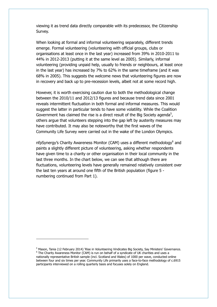viewing it as trend data directly comparable with its predecessor, the Citizenship Survey.

When looking at formal and informal volunteering separately, different trends emerge. Formal volunteering (volunteering with official groups, clubs or organisations at least once in the last year) increased from 39% in 2010-2011 to 44% in 2012-2013 (putting it at the same level as 2005). Similarly, informal volunteering (providing unpaid help, usually to friends or neighbours, at least once in the last year) has increased by 7% to 62% in the same timeframe (and it was 68% in 2005). This suggests the welcome news that volunteering figures are now in recovery and back up to pre-recession levels, albeit not at some record high.

However, it is worth exercising caution due to both the methodological change between the 2010/11 and 2012/13 figures and because trend data since 2001 reveals intermittent fluctuation in both formal and informal measures. This would suggest the latter in particular tends to have some volatility. While the Coalition Government has claimed the rise is a direct result of the Big Society agenda<sup>5</sup>, others argue that volunteers stepping into the gap left by austerity measures may have contributed. It may also be noteworthy that the first waves of the Community Life Survey were carried out in the wake of the London Olympics.

nfpSynergy's Charity Awareness Monitor (CAM) uses a different methodology<sup>6</sup> and paints a slightly different picture of volunteering, asking whether respondents have given time to a charity or other organisation in their local community in the last three months. In the chart below, we can see that although there are fluctuations, volunteering levels have generally remained relatively consistent over the last ten years at around one fifth of the British population (figure 5 numbering continued from Part 1).

<sup>&</sup>lt;sup>5</sup> Mason, Tania (12 February 2014) 'Rise in Volunteering Vindicates Big Society, Say Ministers' Governance. <sup>6</sup> The Charity Awareness Monitor (CAM) is run on behalf of a syndicate of UK charities and uses a nationally representative British sample (incl. Scotland and Wales) of 1000 per wave, conducted online between four and six times per year. Community Life primarily uses a face-to-face methodology of c.6915 participants interviewed on a rolling quarterly basis and focuses solely on England.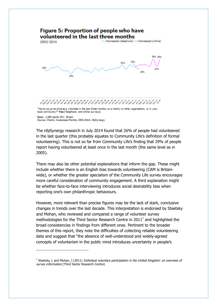

The nfpSynergy research in July 2014 found that 26% of people had volunteered in the last quarter (this probably equates to Community Life's definition of formal volunteering). This is not so far from Community Life's finding that 29% of people report having volunteered at least once in the last month (the same level as in 2005).

There may also be other potential explanations that inform the gap. These might include whether there is an English bias towards volunteering (CAM is Britainwide), or whether the greater specialism of the Community Life survey encourages more careful consideration of community engagement. A third explanation might be whether face-to-face interviewing introduces social desirability bias when reporting one's own philanthropic behaviours.

However, more relevant than precise figures may be the lack of stark, conclusive changes in trends over the last decade. This interpretation is endorsed by Staetsky and Mohan, who reviewed and compared a range of volunteer survey methodologies for the Third Sector Research Centre in 2011<sup>7</sup> and highlighted the broad consistencies in findings from different ones. Pertinent to the broader themes of this report, they note the difficulties of collecting reliable volunteering data and suggest that "the absence of well-understood and widely-agreed concepts of voluntarism in the public mind introduces uncertainty in people's

<sup>&</sup>lt;sup>7</sup> Staetsky, L and Mohan, J (2011) *Individual voluntary participation in the United Kingdom: an overview of* survey information (Third Sector Research Centre)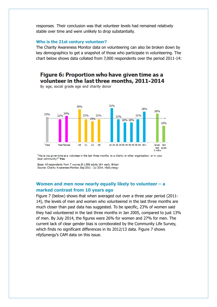responses. Their conclusion was that volunteer levels had remained relatively stable over time and were unlikely to drop substantially.

## **Who is the 21st century volunteer?**

The Charity Awareness Monitor data on volunteering can also be broken down by key demographics to get a snapshot of those who participate in volunteering. The chart below shows data collated from 7,000 respondents over the period 2011-14:

## Figure 6: Proportion who have given time as a volunteer in the last three months, 2011-2014

By age, social grade age and charity donor



"Have you given time as a volunteer in the last three months, to a charity or other organisation, or in your local community?" Yes

Base: All respondents from 7 waves @ 1,000 adults 16+ each, Britain Source: Charity Awareness Monitor, Sep 2011 - Jul 2014, nfpSynergy

## **Women and men now nearly equally likely to volunteer – a marked contrast from 10 years ago**

Figure 7 (below) shows that when averaged out over a three year period (2011- 14), the levels of men and women who volunteered in the last three months are much closer than past data has suggested. To be specific, 23% of women said they had volunteered in the last three months in Jan 2005, compared to just 13% of men. By July 2014, the figures were 26% for women and 27% for men. The current lack of clear gender bias is corroborated by the Community Life Survey, which finds no significant differences in its 2012/13 data. Figure 7 shows nfpSynergy's CAM data on this issue.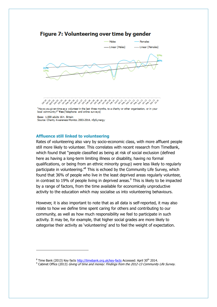## Figure 7: Volunteering over time by gender



"Have you given time as a volunteer in the last three months, to a charity or other organisation, or in your local community?" Yes (Telephone and online surveys)

Base: 1,000 adults 16+, Britain Source: Charity Awareness Monitor, 2003-2014, nfpSynergy

## **Affluence still linked to volunteering**

-

Rates of volunteering also vary by socio-economic class, with more affluent people still more likely to volunteer. This correlates with recent research from TimeBank, which found that "people classified as being at risk of social exclusion (defined here as having a long-term limiting illness or disability, having no formal qualifications, or being from an ethnic minority group) were less likely to regularly participate in volunteering.<sup>"8</sup> This is echoed by the Community Life Survey, which found that 36% of people who live in the least deprived areas regularly volunteer, in contrast to 19% of people living in deprived areas. $9$  This is likely to be impacted by a range of factors, from the time available for economically unproductive activity to the education which may socialise us into volunteering behaviours.

However, it is also important to note that as all data is self-reported, it may also relate to how we define time spent caring for others and contributing to our community, as well as how much responsibility we feel to participate in such activity. It may be, for example, that higher social grades are more likely to categorise their activity as 'volunteering' and to feel the weight of expectation.

<sup>&</sup>lt;sup>8</sup> Time Bank (2013) Key facts<http://timebank.org.uk/key-facts> Accessed: April 30<sup>th</sup> 2014.

<sup>&</sup>lt;sup>9</sup> Cabinet Office (2013) *Giving of time and money: Findings from the 2012-13 Community Life Survey.*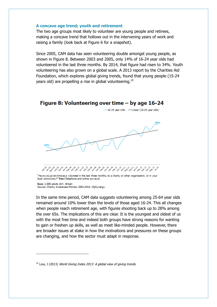## **A concave age trend; youth and retirement**

The two age groups most likely to volunteer are young people and retirees, making a concave trend that hollows out in the intervening years of work and raising a family (look back at Figure 6 for a snapshot).

Since 2005, CAM data has seen volunteering double amongst young people, as shown in Figure 8. Between 2003 and 2005, only 14% of 16-24 year olds had volunteered in the last three months. By 2014, that figure had risen to 34%. Youth volunteering has also grown on a global scale. A 2013 report by the Charities Aid Foundation, which explores global giving trends, found that young people (15-24 years old) are propelling a rise in global volunteering.<sup>10</sup>



Source: Charity Awareness Monitor, 2003-2014, nfpSynergy

 $\overline{a}$ 

In the same time period, CAM data suggests volunteering among 25-64 year olds remained around 10% lower than the levels of those aged 16-24. This all changes when people reach retirement age, with figures shooting back up to 28% among the over 65s. The implications of this are clear. It is the youngest and oldest of us with the most free time and indeed both groups have strong reasons for wanting to gain or freshen up skills, as well as meet like-minded people. However, there are broader issues at stake in how the motivations and pressures on these groups are changing, and how the sector must adapt in response.

 $10$  Low, J (2013) World Giving Index 2013: A global view of giving trends.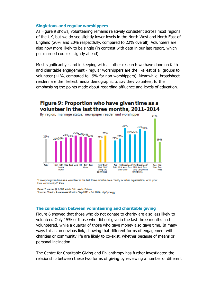## **Singletons and regular worshippers**

As Figure 9 shows, volunteering remains relatively consistent across most regions of the UK, but we do see slightly lower levels in the North West and North East of England (20% and 20% respectfully, compared to 22% overall). Volunteers are also now more likely to be single (in contrast with data in our last report, which put married couples slightly ahead).

Most significantly - and in keeping with all other research we have done on faith and charitable engagement - regular worshippers are the likeliest of all groups to volunteer (41%, compared to 19% for non-worshippers). Meanwhile, broadsheet readers are the likeliest media demographic to say they volunteer, further emphasising the points made about regarding affluence and levels of education.

#### Figure 9: Proportion who have given time as a volunteer in the last three months, 2011-2014 By region, marriage status, newspaper reader and worshipper 41% 32% 31%30% 25%<br>6 - 24%24%23% 26%26% 25% 23%23%  $21\%^{22\%}$ 22% 21% 209/209/ 19% NW NE/ Mids East Lond SE SW/ Scot Total Mrnd/ Snow<br>CMV Wid/ Tab Mid Broad-Local/ Mid Broad-Local/ R/p Not York & **Minime** Daily Mrkt sheet Free Mrkt sheet Free Wrsp Red Living DM Humt Daily Daily Daily DailyOnine<br>Oningnine

"Have you given time as a volunteer in the last three months, to a charity or other organisation, or in your

Base: 7 waves @ 1,000 adults 16+ each, Britain Source: Charity Awareness Monitor, Sep 2011 - Jul 2014, nfpSynergy

local community?" Yes

### **The connection between volunteering and charitable giving**

Figure 6 showed that those who do not donate to charity are also less likely to volunteer. Only 15% of those who did not give in the last three months had volunteered, while a quarter of those who gave money also gave time. In many ways this is an obvious link, showing that different forms of engagement with charities or community life are likely to co-exist, whether because of means or personal inclination.

The Centre for Charitable Giving and Philanthropy has further investigated the relationship between these two forms of giving by reviewing a number of different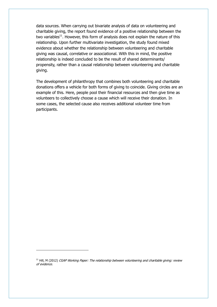data sources. When carrying out bivariate analysis of data on volunteering and charitable giving, the report found evidence of a positive relationship between the two variables $^{11}$ . However, this form of analysis does not explain the nature of this relationship. Upon further multivariate investigation, the study found mixed evidence about whether the relationship between volunteering and charitable giving was causal, correlative or associational. With this in mind, the positive relationship is indeed concluded to be the result of shared determinants/ propensity, rather than a causal relationship between volunteering and charitable giving.

The development of philanthropy that combines both volunteering and charitable donations offers a vehicle for both forms of giving to coincide. Giving circles are an example of this. Here, people pool their financial resources and then give time as volunteers to collectively choose a cause which will receive their donation. In some cases, the selected cause also receives additional volunteer time from participants.

 $11$  Hill, M (2012) CGAP Working Paper: The relationship between volunteering and charitable giving: review of evidence.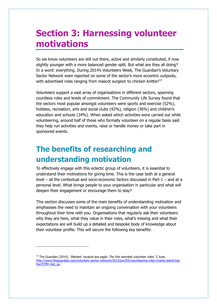## **Section 3: Harnessing volunteer motivations**

So we know volunteers are still out there, active and similarly constituted, if now slightly younger with a more balanced gender split. But what are they all doing? In a word: everything. During 2014's Volunteers Week, The Guardian's Voluntary Sector Network even reported on some of the sector's more eccentric outposts, with advertised roles ranging from mascot surgeon to chicken knitter! $12$ 

Volunteers support a vast array of organisations in different sectors, spanning countless roles and levels of commitment. The Community Life Survey found that the sectors most popular amongst volunteers were sports and exercise (52%), hobbies, recreation, arts and social clubs (42%), religion (36%) and children's education and schools (34%). When asked which activities were carried out while volunteering, around half of those who formally volunteer on a regular basis said they help run activities and events, raise or handle money or take part in sponsored events.

## **The benefits of researching and understanding motivation**

To effectively engage with this eclectic group of volunteers, it is essential to understand their motivations for giving time. This is the case both at a general level – all the contextual and socio-economic factors discussed in Part 1 – and at a personal level. What brings people to your organisation in particular and what will deepen their engagement or encourage them to stay?

This section discusses some of the main benefits of understanding motivation and emphasises the need to maintain an ongoing conversation with your volunteers throughout their time with you. Organisations that regularly ask their volunteers why they are here, what they value in their roles, what's missing and what their expectations are will build up a detailed and bespoke body of knowledge about their volunteer profile. This will secure the following key benefits:

 $12$  The Guardian (2014), 'Wanted: musical sea eagle. The five weirdest volunteer roles', 3 June. [http://www.theguardian.com/voluntary-sector-network/2014/jun/03/volunteering-roles-charity-weird-top](http://www.theguardian.com/voluntary-sector-network/2014/jun/03/volunteering-roles-charity-weird-top-five?CMP=twt_gu)[five?CMP=twt\\_gu](http://www.theguardian.com/voluntary-sector-network/2014/jun/03/volunteering-roles-charity-weird-top-five?CMP=twt_gu)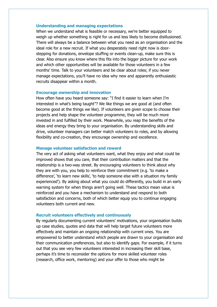## **Understanding and managing expectations**

When we understand what is feasible or necessary, we're better equipped to weigh up whether something is right for us and less likely to become disillusioned. There will always be a balance between what you need as an organisation and the ideal role for a new recruit. If what you desperately need right now is doorstepping for donations, envelope stuffing or events clean-up, make sure this is clear. Also ensure you know where this fits into the bigger picture for your work and which other opportunities will be available for those volunteers in a few months' time. Talk to your volunteers and be clear about roles; if you never manage expectations, you'll have no idea why new and apparently enthusiastic recruits disappear within a month.

## **Encourage ownership and innovation**

How often have you heard someone say: "I find it easier to learn when I'm interested in what's being taught"? We like things we are good at (and often become good at the things we like). If volunteers are given scope to choose their projects and help shape the volunteer programme, they will be much more invested in and fulfilled by their work. Meanwhile, you reap the benefits of the ideas and energy they bring to your organisation. By understanding skills and drive, volunteer managers can better match volunteers to roles, and by allowing flexibility and co-creation, they encourage ownership and excellence.

### **Manage volunteer satisfaction and reward**

The very act of asking what volunteers want, what they enjoy and what could be improved shows that you care, that their contribution matters and that the relationship is a two-way street. By encouraging volunteers to think about why they are with you, you help to reinforce their commitment (e.g. 'to make a difference', 'to learn new skills', 'to help someone else with a situation my family experienced'). By asking about what you could do differently, you build in an early warning system for when things aren't going well. These tactics mean value is reinforced and you have a mechanism to understand and respond to both satisfaction and concerns, both of which better equip you to continue engaging volunteers both current and new.

### **Recruit volunteers effectively and continuously**

By regularly documenting current volunteers' motivations, your organisation builds up case studies, quotes and data that will help target future volunteers more effectively and maintain an ongoing relationship with current ones. You are empowered to better understand which people are drawn to your organisation and their communication preferences, but also to identify gaps. For example, if it turns out that you see very few volunteers interested in increasing their skill base, perhaps it's time to reconsider the options for more skilled volunteer roles (research, office work, mentoring) and your offer to those who might be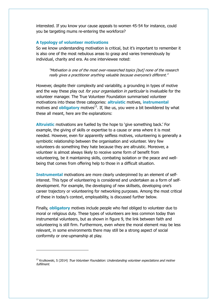interested. If you know your cause appeals to women 45-54 for instance, could you be targeting mums re-entering the workforce?

## **A typology of volunteer motivations**

So we know understanding motivation is critical, but it's important to remember it is also one of the most nebulous areas to grasp and varies tremendously by individual, charity and era. As one interviewee noted:

"Motivation is one of the most over-researched topics [but] none of the research really gives a practitioner anything valuable because everyone's different."

However, despite their complexity and variability, a grounding in types of motive and the way these play out *for your organisation in particular* is invaluable for the volunteer manager. The True Volunteer Foundation summarised volunteer motivations into these three categories: **altruistic** motives, **instrumental** motives and **obligatory** motives<sup>13</sup>. If, like us, you were a bit bewildered by what these all meant, here are the explanations:

**Altruistic** motivations are fuelled by the hope to 'give something back.' For example, the giving of skills or expertise to a cause or area where it is most needed. However, even for apparently selfless motives, volunteering is generally a symbiotic relationship between the organisation and volunteer. Very few volunteers do something they hate because they are altruistic. Moreover, a volunteer is almost always likely to receive some form of benefit from volunteering, be it maintaining skills, combating isolation or the peace and wellbeing that comes from offering help to those in a difficult situation.

**Instrumental** motivations are more clearly underpinned by an element of selfinterest. This type of volunteering is considered and undertaken as a form of selfdevelopment. For example, the developing of new skillsets, developing one's career trajectory or volunteering for networking purposes. Among the most critical of these in today's context, employability, is discussed further below.

Finally, **obligatory** motives include people who feel obliged to volunteer due to moral or religious duty. These types of volunteers are less common today than instrumental volunteers, but as shown in figure 9, the link between faith and volunteering is still firm. Furthermore, even where the moral element may be less relevant, in some environments there may still be a strong aspect of social conformity or one-upmanship at play.

 $13$  Krutkowski, S (2014) True Volunteer Foundation: Understanding volunteer expectations and motive fulfilment.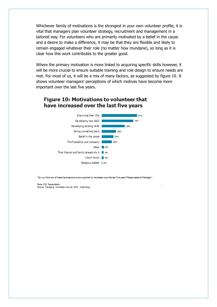Whichever family of motivations is the strongest in your own volunteer profile, it is vital that managers plan volunteer strategy, recruitment and management in a tailored way. For volunteers who are primarily motivated by a belief in the cause and a desire to make a difference, it may be that they are flexible and likely to remain engaged whatever their role (no matter how mundane), so long as it is clear how this work contributes to the greater good.

Where the primary motivation is more linked to acquiring specific skills however, it will be more crucial to ensure suitable training and role design to ensure needs are met. For most of us, it will be a mix of many factors, as suggested by figure 10. It shows volunteer managers' perceptions of which motives have become more important over the last five years.

## Figure 10: Motivations to volunteer that have increased over the last five years



"Do you think any of these have become more important to volunteers over the last five years? Please select all that apply"

Base: 516 Respondents Source: Managing Volunteers Survey 2013, nfpSynergy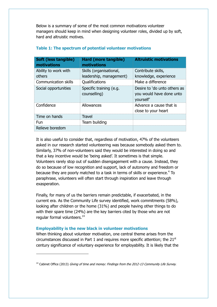Below is a summary of some of the most common motivations volunteer managers should keep in mind when designing volunteer roles, divided up by soft, hard and altruistic motives.

| <b>Soft (less tangible)</b><br>motivations | Hard (more tangible)<br>motivations                | <b>Altruistic motivations</b>                                         |
|--------------------------------------------|----------------------------------------------------|-----------------------------------------------------------------------|
| Ability to work with<br>others             | Skills (organisational,<br>leadership, management) | Contribute skills,<br>knowledge, experience                           |
| Communication skills                       | Qualifications                                     | Make a difference                                                     |
| Social opportunities                       | Specific training (e.g.<br>counselling)            | Desire to 'do unto others as<br>you would have done unto<br>yourself' |
| Confidence                                 | Allowances                                         | Advance a cause that is<br>close to your heart                        |
| Time on hands                              | <b>Travel</b>                                      |                                                                       |
| Fun                                        | Team building                                      |                                                                       |
| Relieve boredom                            |                                                    |                                                                       |

## **Table 1: The spectrum of potential volunteer motivations**

It is also useful to consider that, regardless of motivation, 47% of the volunteers asked in our research started volunteering was because somebody asked them to. Similarly, 37% of non-volunteers said they would be interested in doing so and that a key incentive would be 'being asked'. It sometimes is that simple. Volunteers rarely stop out of sudden disengagement with a cause. Instead, they do so because of low recognition and support, lack of autonomy and freedom or because they are poorly matched to a task in terms of skills or experience. $4$  To paraphrase, volunteers will often start through inspiration and leave through exasperation.

Finally, for many of us the barriers remain predictable, if exacerbated, in the current era. As the Community Life survey identified, work commitments (58%), looking after children or the home (31%) and people having other things to do with their spare time (24%) are the key barriers cited by those who are not regular formal volunteers.<sup>14</sup>

### **Employability is the new black in volunteer motivations**

 $\overline{a}$ 

When thinking about volunteer motivation, one central theme arises from the circumstances discussed in Part 1 and requires more specific attention; the  $21<sup>st</sup>$ century significance of voluntary experience for employability. It is likely that the

<sup>&</sup>lt;sup>14</sup> Cabinet Office (2013) Giving of time and money: Findings from the 2012-13 Community Life Survey.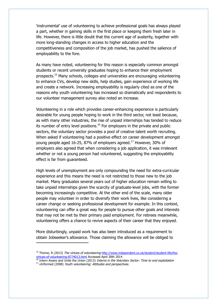'instrumental' use of volunteering to achieve professional goals has always played a part, whether in gaining skills in the first place or keeping them fresh later in life. However, there is little doubt that the current age of austerity, together with more long-standing changes in access to higher education and the competitiveness and composition of the job market, has pushed the salience of employability to the fore.

As many have noted, volunteering for this reason is especially common amongst students or recent university graduates hoping to enhance their employment prospects. <sup>15</sup> Many schools, colleges and universities are encouraging volunteering to enhance CVs, develop new skills, help studies, gain experience of working life and create a network. Increasing employability is regularly cited as one of the reasons why youth volunteering has increased so dramatically and respondents to our volunteer management survey also noted an increase.

Volunteering in a role which provides career-enhancing experience is particularly desirable for young people hoping to work in the third sector, not least because, as with many other industries, the rise of unpaid internships has tended to reduce its number of entry level positions. $16$  For employers in the private and public sectors, the voluntary sector provides a pool of creative talent worth recruiting. When asked if volunteering had a positive effect on career development amongst young people aged 16-25, 87% of employers agreed.<sup>17</sup> However, 30% of employers also agreed that when considering a job application, it was irrelevant whether or not a young person had volunteered, suggesting the employability effect is far from guaranteed.

High levels of unemployment are only compounding the need for extra-curricular experience and this means the need is not restricted to those new to the job market. Many graduates several years out of higher education remain willing to take unpaid internships given the scarcity of graduate-level jobs, with the former becoming increasingly competitive. At the other end of the scale, many older people may volunteer in order to diversify their work lives, like considering a career change or seeking professional development for example. In this context, volunteering can offer a great way for people to pursue other goals and interests that may not be met by their primary paid employment. For retirees meanwhile, volunteering offers a chance to revive aspects of their career that they enjoyed.

More disturbingly, unpaid work has also been introduced as a requirement to obtain Jobseeker's allowance. Those claiming the allowance will be obliged to

j

<sup>&</sup>lt;sup>15</sup> Thorne, R (2013) The virtues of volunteering [http://www.independent.co.uk/student/student-life/the](http://www.independent.co.uk/student/student-life/the-virtues-of-volunteering-8774013.html)[virtues-of-volunteering-8774013.html](http://www.independent.co.uk/student/student-life/the-virtues-of-volunteering-8774013.html) Accessed April 30th 2014

 $16$  Intern Aware and Unite the Union (2013) Interns in the Voluntary Sector: Time to end exploitation

<sup>&</sup>lt;sup>17</sup> vInformed (2008) Youth volunteering: Attitudes and perspectives.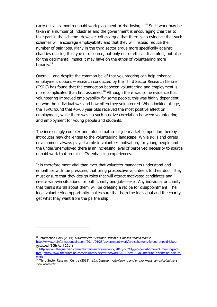carry out a six month unpaid work placement or risk losing it.<sup>18</sup> Such work may be taken in a number of industries and the government is encouraging charities to take part in the scheme. However, critics argue that there is no evidence that such schemes will encourage employability and that they will instead reduce the number of paid jobs. Many in the third sector argue more specifically against charities utilising this type of resource, not only out of ethical discomfort, but also for the detrimental impact it may have on the ethos of volunteering more broadly.<sup>19</sup>

Overall – and despite the common belief that volunteering can help enhance employment options – research conducted by the Third Sector Research Centre (TSRC) has found that the connection between volunteering and employment is more complicated than first assumed.<sup>20</sup> Although there was some evidence that volunteering improved employability for some people, this was highly dependent on who the individual was and how often they volunteered. When looking at age, the TSRC found that 45-60 year olds received the most positive affect on employment, while there was no such positive correlation between volunteering and employment for young people and students.

The increasingly complex and intense nature of job market competition thereby introduces new challenges to the volunteering landscape. While skills and career development always played a role in volunteer motivation, for young people and the under/unemployed there is an increasing level of perceived necessity to source unpaid work that promises CV-enhancing experiences.

It is therefore more vital than ever that volunteer managers understand and empathise with the pressures that bring prospective volunteers to their door. They must ensure that they design roles that will attract motivated candidates and create win-win situations for both charity and job-seeker. Any individual or charity that thinks it's 'all about them' will be creating a recipe for disappointment. The ideal volunteering opportunity makes sure that both the individual and the charity get what they want from the partnership.

<sup>&</sup>lt;sup>18</sup> Information Daily (2014) 'Government 'Workfare' scheme is 'forced unpaid labour'

<http://www.theinformationdaily.com/2014/04/28/government-workfare-scheme-is-forced-unpaid-labour> Accessed (30th April 2014)

<sup>&</sup>lt;sup>19</sup> [http://www.theguardian.com/voluntary-sector-network/2013/oct/14/george-osborne-volunteering-not](http://www.theguardian.com/voluntary-sector-network/2013/oct/14/george-osborne-volunteering-not-free)[free;](http://www.theguardian.com/voluntary-sector-network/2013/oct/14/george-osborne-volunteering-not-free) [http://www.theguardian.com/voluntary-sector-network/2013/oct/15/volunteering-distinction-help-to](http://www.theguardian.com/voluntary-sector-network/2013/oct/15/volunteering-distinction-help-to-work)[work](http://www.theguardian.com/voluntary-sector-network/2013/oct/15/volunteering-distinction-help-to-work)

 $20$  Third Sector Research Centre (2013), 'Link between volunteering and employment 'complicated' says new research'